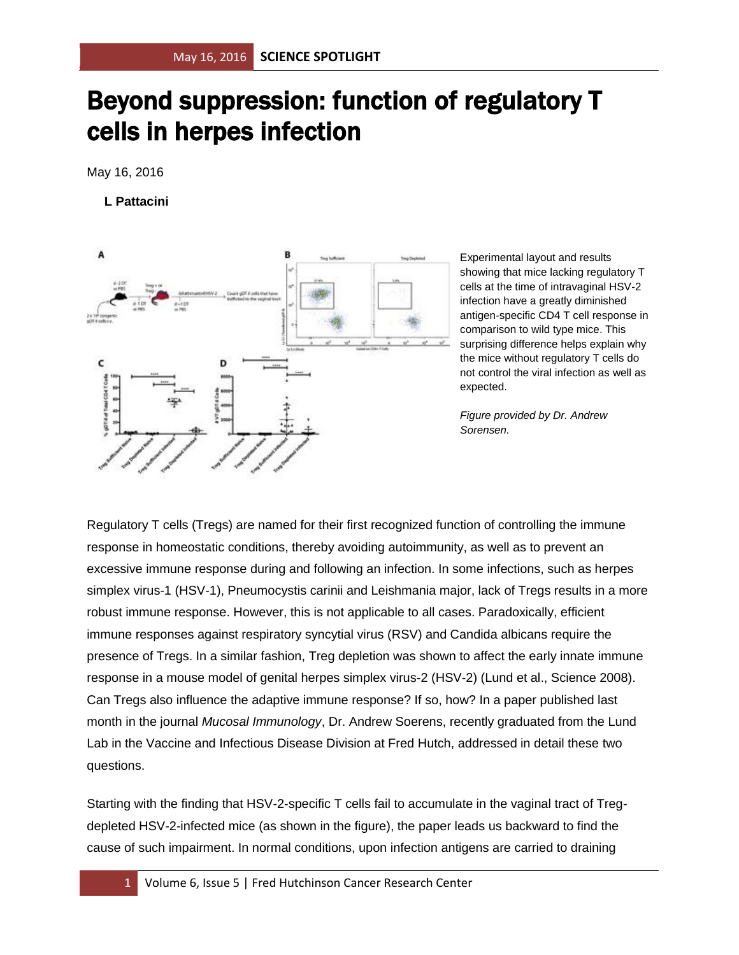## Beyond suppression: function of regulatory T cells in herpes infection

May 16, 2016

## **L Pattacini**



Experimental layout and results showing that mice lacking regulatory T cells at the time of intravaginal HSV-2 infection have a greatly diminished antigen-specific CD4 T cell response in comparison to wild type mice. This surprising difference helps explain why the mice without regulatory T cells do not control the viral infection as well as expected.

*Figure provided by Dr. Andrew Sorensen.*

Regulatory T cells (Tregs) are named for their first recognized function of controlling the immune response in homeostatic conditions, thereby avoiding autoimmunity, as well as to prevent an excessive immune response during and following an infection. In some infections, such as herpes simplex virus-1 (HSV-1), Pneumocystis carinii and Leishmania major, lack of Tregs results in a more robust immune response. However, this is not applicable to all cases. Paradoxically, efficient immune responses against respiratory syncytial virus (RSV) and Candida albicans require the presence of Tregs. In a similar fashion, Treg depletion was shown to affect the early innate immune response in a mouse model of genital herpes simplex virus-2 (HSV-2) (Lund et al., Science 2008). Can Tregs also influence the adaptive immune response? If so, how? In a paper published last month in the journal *Mucosal Immunology*, Dr. Andrew Soerens, recently graduated from the Lund Lab in the Vaccine and Infectious Disease Division at Fred Hutch, addressed in detail these two questions.

Starting with the finding that HSV-2-specific T cells fail to accumulate in the vaginal tract of Tregdepleted HSV-2-infected mice (as shown in the figure), the paper leads us backward to find the cause of such impairment. In normal conditions, upon infection antigens are carried to draining